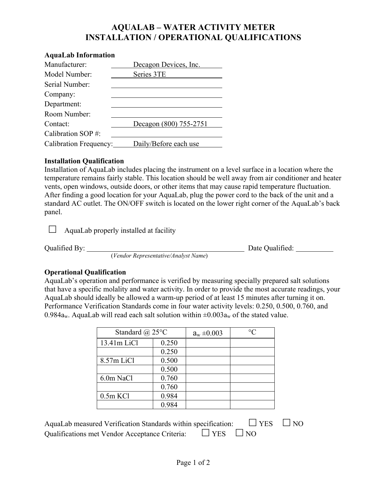## **AQUALAB – WATER ACTIVITY METER INSTALLATION / OPERATIONAL QUALIFICATIONS**

#### **AquaLab Information**

| Manufacturer:          | Decagon Devices, Inc.  |
|------------------------|------------------------|
| Model Number:          | Series 3TE             |
| Serial Number:         |                        |
| Company:               |                        |
| Department:            |                        |
| Room Number:           |                        |
| Contact:               | Decagon (800) 755-2751 |
| Calibration SOP#:      |                        |
| Calibration Frequency: | Daily/Before each use  |

### **Installation Qualification**

Installation of AquaLab includes placing the instrument on a level surface in a location where the temperature remains fairly stable. This location should be well away from air conditioner and heater vents, open windows, outside doors, or other items that may cause rapid temperature fluctuation. After finding a good location for your AquaLab, plug the power cord to the back of the unit and a standard AC outlet. The ON/OFF switch is located on the lower right corner of the AquaLab's back panel.

 $\Box$  AquaLab properly installed at facility

Qualified By: <u>Conservative/Analyst Name</u> Date Qualified: <u>Conservative/Analyst Name</u>

### **Operational Qualification**

AquaLab's operation and performance is verified by measuring specially prepared salt solutions that have a specific molality and water activity. In order to provide the most accurate readings, your AquaLab should ideally be allowed a warm-up period of at least 15 minutes after turning it on. Performance Verification Standards come in four water activity levels: 0.250, 0.500, 0.760, and 0.984a<sub>w</sub>. AquaLab will read each salt solution within  $\pm 0.003a_w$  of the stated value.

| Standard @ $25^{\circ}$ C |       | $a_w \pm 0.003$ | $\circ$ $\circ$ |
|---------------------------|-------|-----------------|-----------------|
| 13.41m LiCl               | 0.250 |                 |                 |
|                           | 0.250 |                 |                 |
| 8.57m LiCl                | 0.500 |                 |                 |
|                           | 0.500 |                 |                 |
| 6.0m NaCl                 | 0.760 |                 |                 |
|                           | 0.760 |                 |                 |
| $0.5m$ KCl                | 0.984 |                 |                 |
|                           | 0.984 |                 |                 |

| AquaLab measured Verification Standards within specification:       | $\Box$ YES $\Box$ NO |  |
|---------------------------------------------------------------------|----------------------|--|
| Qualifications met Vendor Acceptance Criteria: $\Box$ YES $\Box$ NO |                      |  |